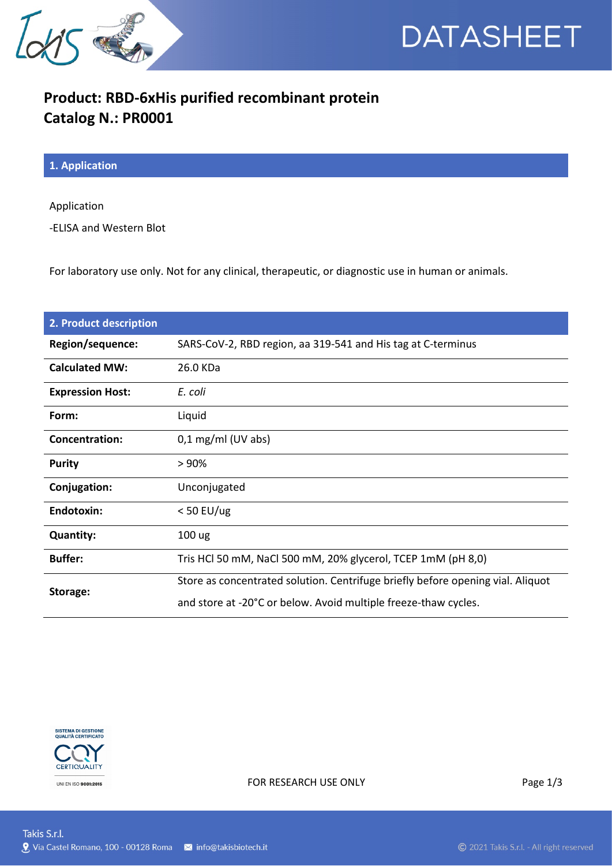



## **Product: RBD-6xHis purified recombinant protein Catalog N.: PR0001**

**1. Application**

Application

-ELISA and Western Blot

For laboratory use only. Not for any clinical, therapeutic, or diagnostic use in human or animals.

| 2. Product description  |                                                                                 |
|-------------------------|---------------------------------------------------------------------------------|
| Region/sequence:        | SARS-CoV-2, RBD region, aa 319-541 and His tag at C-terminus                    |
| <b>Calculated MW:</b>   | 26.0 KDa                                                                        |
| <b>Expression Host:</b> | E. coli                                                                         |
| Form:                   | Liquid                                                                          |
| <b>Concentration:</b>   | $0,1$ mg/ml (UV abs)                                                            |
| <b>Purity</b>           | >90%                                                                            |
| Conjugation:            | Unconjugated                                                                    |
| Endotoxin:              | $<$ 50 EU/ug                                                                    |
| <b>Quantity:</b>        | 100 ug                                                                          |
| <b>Buffer:</b>          | Tris HCl 50 mM, NaCl 500 mM, 20% glycerol, TCEP 1mM (pH 8,0)                    |
| Storage:                | Store as concentrated solution. Centrifuge briefly before opening vial. Aliquot |
|                         | and store at -20°C or below. Avoid multiple freeze-thaw cycles.                 |



FOR RESEARCH USE ONLY Page 1/3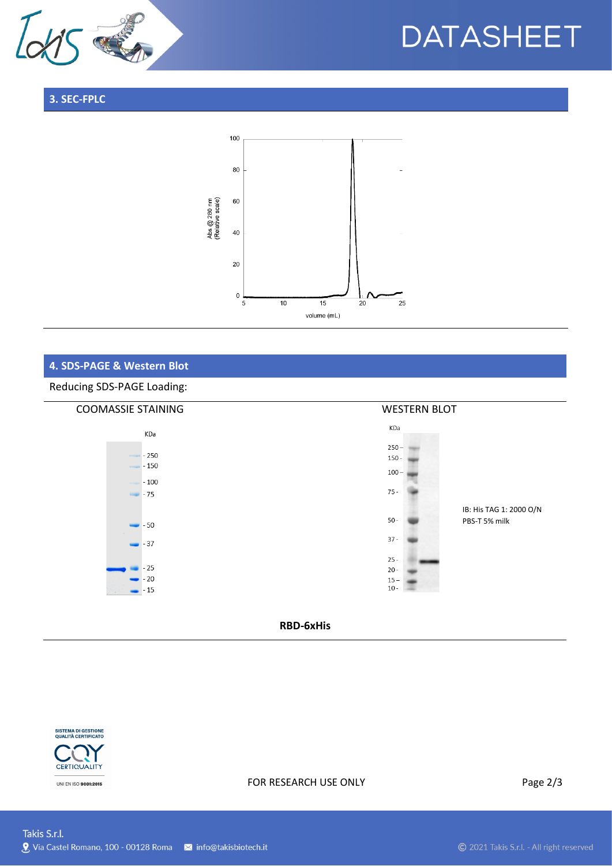

# **DATASHEET**

## **3. SEC-FPLC**



## **4. SDS-PAGE & Western Blot**

#### Reducing SDS-PAGE Loading:



### **RBD-6xHis**